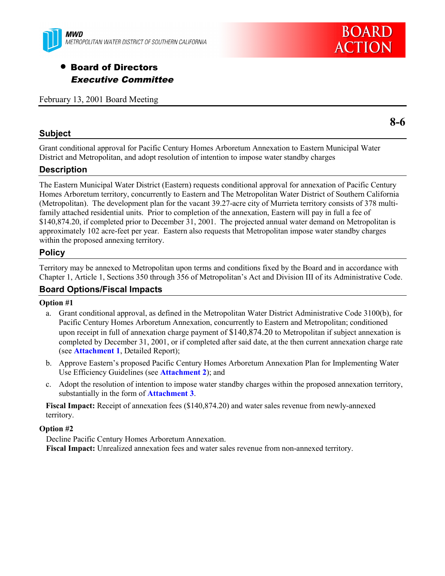

# • Board of Directors Executive Committee

February 13, 2001 Board Meeting

# **Subject**

**8-6**

**BOARD** 

**ACTION** 

Grant conditional approval for Pacific Century Homes Arboretum Annexation to Eastern Municipal Water District and Metropolitan, and adopt resolution of intention to impose water standby charges

# **Description**

The Eastern Municipal Water District (Eastern) requests conditional approval for annexation of Pacific Century Homes Arboretum territory, concurrently to Eastern and The Metropolitan Water District of Southern California (Metropolitan). The development plan for the vacant 39.27-acre city of Murrieta territory consists of 378 multifamily attached residential units. Prior to completion of the annexation, Eastern will pay in full a fee of \$140,874.20, if completed prior to December 31, 2001. The projected annual water demand on Metropolitan is approximately 102 acre-feet per year. Eastern also requests that Metropolitan impose water standby charges within the proposed annexing territory.

# **Policy**

Territory may be annexed to Metropolitan upon terms and conditions fixed by the Board and in accordance with Chapter 1, Article 1, Sections 350 through 356 of Metropolitan's Act and Division III of its Administrative Code.

## **Board Options/Fiscal Impacts**

#### **Option #1**

- a. Grant conditional approval, as defined in the Metropolitan Water District Administrative Code 3100(b), for Pacific Century Homes Arboretum Annexation, concurrently to Eastern and Metropolitan; conditioned upon receipt in full of annexation charge payment of \$140,874.20 to Metropolitan if subject annexation is completed by December 31, 2001, or if completed after said date, at the then current annexation charge rate (see **Attachment 1**, Detailed Report);
- b. Approve Eastern's proposed Pacific Century Homes Arboretum Annexation Plan for Implementing Water Use Efficiency Guidelines (see **Attachment 2**); and
- c. Adopt the resolution of intention to impose water standby charges within the proposed annexation territory, substantially in the form of **Attachment 3**.

**Fiscal Impact:** Receipt of annexation fees (\$140,874.20) and water sales revenue from newly-annexed territory.

#### **Option #2**

Decline Pacific Century Homes Arboretum Annexation. **Fiscal Impact:** Unrealized annexation fees and water sales revenue from non-annexed territory.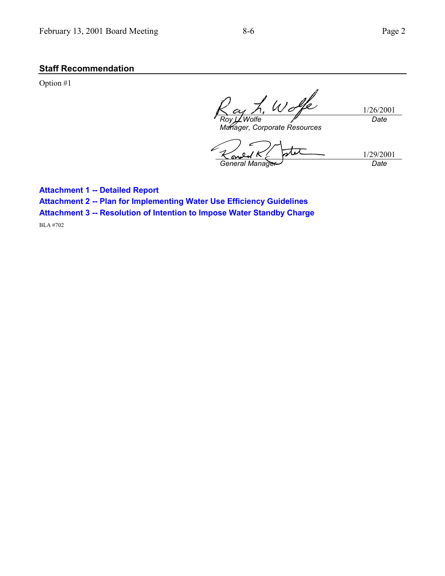# **Staff Recommendation**

Option #1

 $w$  of 1/26/2001 *Roy L. Wolfe Date*

*Manager, Corporate Resources*

TU 1/29/2001 *General Manager Date*

**Attachment 1 -- Detailed Report**

**Attachment 2 -- Plan for Implementing Water Use Efficiency Guidelines**

**Attachment 3 -- Resolution of Intention to Impose Water Standby Charge**

BLA #702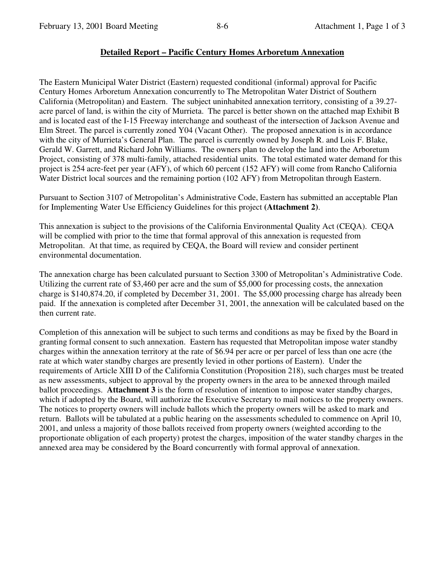## **Detailed Report – Pacific Century Homes Arboretum Annexation**

The Eastern Municipal Water District (Eastern) requested conditional (informal) approval for Pacific Century Homes Arboretum Annexation concurrently to The Metropolitan Water District of Southern California (Metropolitan) and Eastern. The subject uninhabited annexation territory, consisting of a 39.27 acre parcel of land, is within the city of Murrieta. The parcel is better shown on the attached map Exhibit B and is located east of the I-15 Freeway interchange and southeast of the intersection of Jackson Avenue and Elm Street. The parcel is currently zoned Y04 (Vacant Other). The proposed annexation is in accordance with the city of Murrieta's General Plan. The parcel is currently owned by Joseph R. and Lois F. Blake, Gerald W. Garrett, and Richard John Williams. The owners plan to develop the land into the Arboretum Project, consisting of 378 multi-family, attached residential units. The total estimated water demand for this project is 254 acre-feet per year (AFY), of which 60 percent (152 AFY) will come from Rancho California Water District local sources and the remaining portion (102 AFY) from Metropolitan through Eastern.

Pursuant to Section 3107 of Metropolitan's Administrative Code, Eastern has submitted an acceptable Plan for Implementing Water Use Efficiency Guidelines for this project **(Attachment 2)**.

This annexation is subject to the provisions of the California Environmental Quality Act (CEQA). CEQA will be complied with prior to the time that formal approval of this annexation is requested from Metropolitan. At that time, as required by CEQA, the Board will review and consider pertinent environmental documentation.

The annexation charge has been calculated pursuant to Section 3300 of Metropolitan's Administrative Code. Utilizing the current rate of \$3,460 per acre and the sum of \$5,000 for processing costs, the annexation charge is \$140,874.20, if completed by December 31, 2001. The \$5,000 processing charge has already been paid. If the annexation is completed after December 31, 2001, the annexation will be calculated based on the then current rate.

Completion of this annexation will be subject to such terms and conditions as may be fixed by the Board in granting formal consent to such annexation. Eastern has requested that Metropolitan impose water standby charges within the annexation territory at the rate of \$6.94 per acre or per parcel of less than one acre (the rate at which water standby charges are presently levied in other portions of Eastern). Under the requirements of Article XIII D of the California Constitution (Proposition 218), such charges must be treated as new assessments, subject to approval by the property owners in the area to be annexed through mailed ballot proceedings. **Attachment 3** is the form of resolution of intention to impose water standby charges, which if adopted by the Board, will authorize the Executive Secretary to mail notices to the property owners. The notices to property owners will include ballots which the property owners will be asked to mark and return. Ballots will be tabulated at a public hearing on the assessments scheduled to commence on April 10, 2001, and unless a majority of those ballots received from property owners (weighted according to the proportionate obligation of each property) protest the charges, imposition of the water standby charges in the annexed area may be considered by the Board concurrently with formal approval of annexation.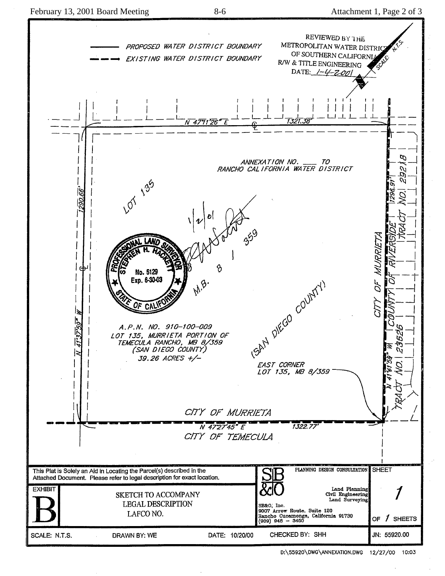

D:\55920\DWG\ANNEXATION.DWG 12/27/00 10:03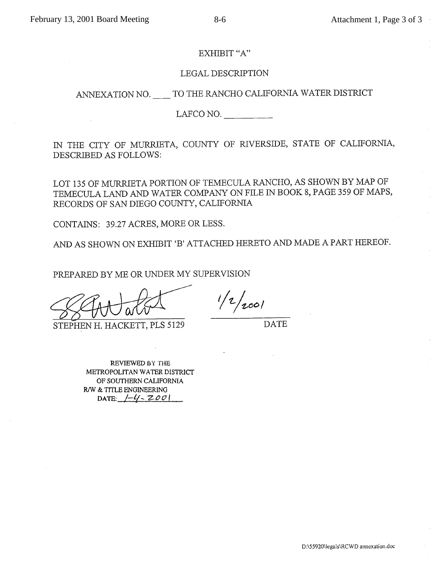#### EXHIBIT "A"

#### LEGAL DESCRIPTION

# ANNEXATION NO. \_\_\_\_ TO THE RANCHO CALIFORNIA WATER DISTRICT

LAFCO NO.  $\qquad \qquad \boxed{\qquad \qquad }$ 

IN THE CITY OF MURRIETA, COUNTY OF RIVERSIDE, STATE OF CALIFORNIA, DESCRIBED AS FOLLOWS:

LOT 135 OF MURRIETA PORTION OF TEMECULA RANCHO, AS SHOWN BY MAP OF TEMECULA LAND AND WATER COMPANY ON FILE IN BOOK 8, PAGE 359 OF MAPS, RECORDS OF SAN DIEGO COUNTY, CALIFORNIA

CONTAINS: 39.27 ACRES, MORE OR LESS.

AND AS SHOWN ON EXHIBIT 'B' ATTACHED HERETO AND MADE A PART HEREOF.

PREPARED BY ME OR UNDER MY SUPERVISION

STEPHEN H. HACKETT, PLS 5129

 $1/2/2001$ 

**DATE** 

REVIEWED BY THE METROPOLITAN WATER DISTRICT OF SOUTHERN CALIFORNIA

R/W & TITLE ENGINEERING DATE:  $[-4]$  -  $200$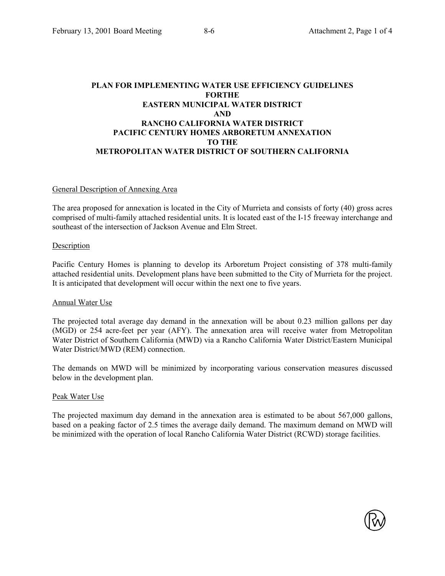#### **PLAN FOR IMPLEMENTING WATER USE EFFICIENCY GUIDELINES FORTHE EASTERN MUNICIPAL WATER DISTRICT AND RANCHO CALIFORNIA WATER DISTRICT PACIFIC CENTURY HOMES ARBORETUM ANNEXATION TO THE METROPOLITAN WATER DISTRICT OF SOUTHERN CALIFORNIA**

#### General Description of Annexing Area

The area proposed for annexation is located in the City of Murrieta and consists of forty (40) gross acres comprised of multi-family attached residential units. It is located east of the I-15 freeway interchange and southeast of the intersection of Jackson Avenue and Elm Street.

#### Description

Pacific Century Homes is planning to develop its Arboretum Project consisting of 378 multi-family attached residential units. Development plans have been submitted to the City of Murrieta for the project. It is anticipated that development will occur within the next one to five years.

#### Annual Water Use

The projected total average day demand in the annexation will be about 0.23 million gallons per day (MGD) or 254 acre-feet per year (AFY). The annexation area will receive water from Metropolitan Water District of Southern California (MWD) via a Rancho California Water District/Eastern Municipal Water District/MWD (REM) connection.

The demands on MWD will be minimized by incorporating various conservation measures discussed below in the development plan.

#### Peak Water Use

The projected maximum day demand in the annexation area is estimated to be about 567,000 gallons, based on a peaking factor of 2.5 times the average daily demand. The maximum demand on MWD will be minimized with the operation of local Rancho California Water District (RCWD) storage facilities.

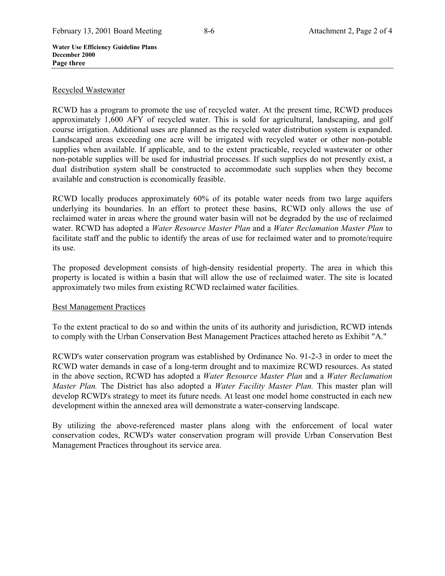**Water Use Efficiency Guideline Plans December 2000 Page three**

#### Recycled Wastewater

RCWD has a program to promote the use of recycled water. At the present time, RCWD produces approximately 1,600 AFY of recycled water. This is sold for agricultural, landscaping, and golf course irrigation. Additional uses are planned as the recycled water distribution system is expanded. Landscaped areas exceeding one acre will be irrigated with recycled water or other non-potable supplies when available. If applicable, and to the extent practicable, recycled wastewater or other non-potable supplies will be used for industrial processes. If such supplies do not presently exist, a dual distribution system shall be constructed to accommodate such supplies when they become available and construction is economically feasible.

RCWD locally produces approximately 60% of its potable water needs from two large aquifers underlying its boundaries. In an effort to protect these basins, RCWD only allows the use of reclaimed water in areas where the ground water basin will not be degraded by the use of reclaimed water. RCWD has adopted a *Water Resource Master Plan* and a *Water Reclamation Master Plan* to facilitate staff and the public to identify the areas of use for reclaimed water and to promote/require its use.

The proposed development consists of high-density residential property. The area in which this property is located is within a basin that will allow the use of reclaimed water. The site is located approximately two miles from existing RCWD reclaimed water facilities.

### Best Management Practices

To the extent practical to do so and within the units of its authority and jurisdiction, RCWD intends to comply with the Urban Conservation Best Management Practices attached hereto as Exhibit "A."

RCWD's water conservation program was established by Ordinance No. 91-2-3 in order to meet the RCWD water demands in case of a long-term drought and to maximize RCWD resources. As stated in the above section, RCWD has adopted a *Water Resource Master Plan* and a *Water Reclamation Master Plan.* The District has also adopted a *Water Facility Master Plan.* This master plan will develop RCWD's strategy to meet its future needs. At least one model home constructed in each new development within the annexed area will demonstrate a water-conserving landscape.

By utilizing the above-referenced master plans along with the enforcement of local water conservation codes, RCWD's water conservation program will provide Urban Conservation Best Management Practices throughout its service area.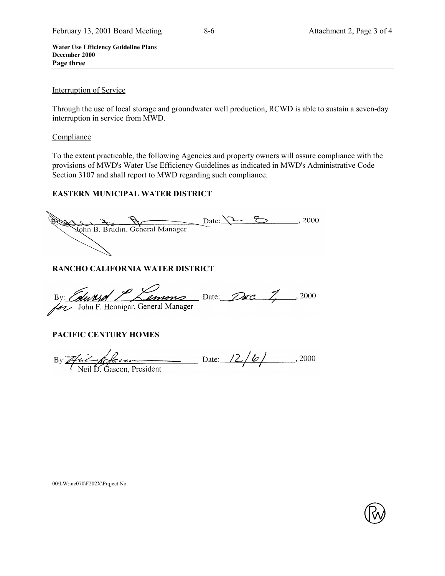**Water Use Efficiency Guideline Plans December 2000 Page three**

#### Interruption of Service

Through the use of local storage and groundwater well production, RCWD is able to sustain a seven-day interruption in service from MWD.

#### Compliance

To the extent practicable, the following Agencies and property owners will assure compliance with the provisions of MWD's Water Use Efficiency Guidelines as indicated in MWD's Administrative Code Section 3107 and shall report to MWD regarding such compliance.

# **EASTERN MUNICIPAL WATER DISTRICT**

Date: 1 Bottom B. Brudin, General Manager Date: 1 2000

# **RANCHO CALIFORNIA WATER DISTRICT**

By: Column Common Date: Dec 7, 2000

# **PACIFIC CENTURY HOMES**

By: *Apple to the community of the Case of Neil D.* Gascon, President

#### 00\LW:inc070\F202X\Prqject No.

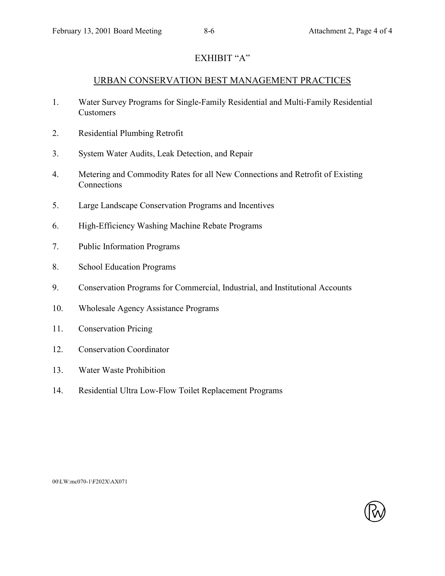# EXHIBIT "A"

# URBAN CONSERVATION BEST MANAGEMENT PRACTICES

- 1. Water Survey Programs for Single-Family Residential and Multi-Family Residential Customers
- 2. Residential Plumbing Retrofit
- 3. System Water Audits, Leak Detection, and Repair
- 4. Metering and Commodity Rates for all New Connections and Retrofit of Existing Connections
- 5. Large Landscape Conservation Programs and Incentives
- 6. High-Efficiency Washing Machine Rebate Programs
- 7. Public Information Programs
- 8. School Education Programs
- 9. Conservation Programs for Commercial, Industrial, and Institutional Accounts
- 10. Wholesale Agency Assistance Programs
- 11. Conservation Pricing
- 12. Conservation Coordinator
- 13. Water Waste Prohibition
- 14. Residential Ultra Low-Flow Toilet Replacement Programs

00\LW:mc070-1\F202X\AX071

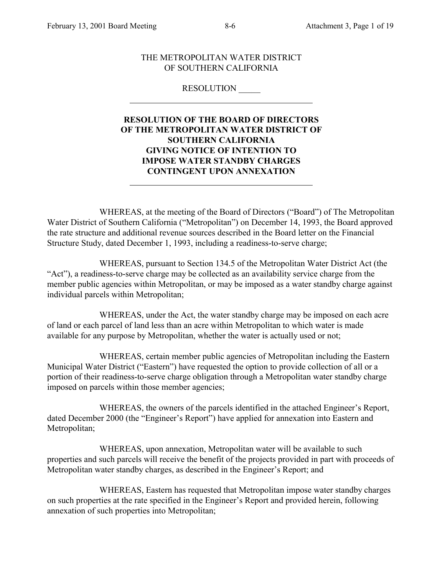$\overline{a}$ 

#### THE METROPOLITAN WATER DISTRICT OF SOUTHERN CALIFORNIA

#### RESOLUTION \_\_\_\_\_

# **RESOLUTION OF THE BOARD OF DIRECTORS OF THE METROPOLITAN WATER DISTRICT OF SOUTHERN CALIFORNIA GIVING NOTICE OF INTENTION TO IMPOSE WATER STANDBY CHARGES CONTINGENT UPON ANNEXATION** l

WHEREAS, at the meeting of the Board of Directors ("Board") of The Metropolitan Water District of Southern California ("Metropolitan") on December 14, 1993, the Board approved the rate structure and additional revenue sources described in the Board letter on the Financial Structure Study, dated December 1, 1993, including a readiness-to-serve charge;

WHEREAS, pursuant to Section 134.5 of the Metropolitan Water District Act (the "Act"), a readiness-to-serve charge may be collected as an availability service charge from the member public agencies within Metropolitan, or may be imposed as a water standby charge against individual parcels within Metropolitan;

WHEREAS, under the Act, the water standby charge may be imposed on each acre of land or each parcel of land less than an acre within Metropolitan to which water is made available for any purpose by Metropolitan, whether the water is actually used or not;

WHEREAS, certain member public agencies of Metropolitan including the Eastern Municipal Water District ("Eastern") have requested the option to provide collection of all or a portion of their readiness-to-serve charge obligation through a Metropolitan water standby charge imposed on parcels within those member agencies;

WHEREAS, the owners of the parcels identified in the attached Engineer's Report, dated December 2000 (the "Engineer's Report") have applied for annexation into Eastern and Metropolitan;

WHEREAS, upon annexation, Metropolitan water will be available to such properties and such parcels will receive the benefit of the projects provided in part with proceeds of Metropolitan water standby charges, as described in the Engineer's Report; and

WHEREAS, Eastern has requested that Metropolitan impose water standby charges on such properties at the rate specified in the Engineer's Report and provided herein, following annexation of such properties into Metropolitan;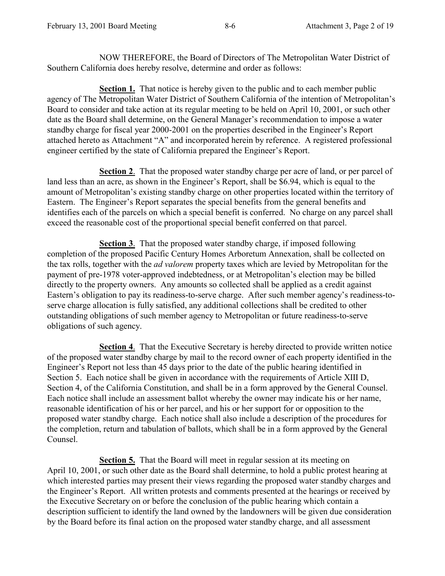NOW THEREFORE, the Board of Directors of The Metropolitan Water District of Southern California does hereby resolve, determine and order as follows:

**Section 1.** That notice is hereby given to the public and to each member public agency of The Metropolitan Water District of Southern California of the intention of Metropolitan's Board to consider and take action at its regular meeting to be held on April 10, 2001, or such other date as the Board shall determine, on the General Manager's recommendation to impose a water standby charge for fiscal year 2000-2001 on the properties described in the Engineer's Report attached hereto as Attachment "A" and incorporated herein by reference. A registered professional engineer certified by the state of California prepared the Engineer's Report.

**Section 2**. That the proposed water standby charge per acre of land, or per parcel of land less than an acre, as shown in the Engineer's Report, shall be \$6.94, which is equal to the amount of Metropolitan's existing standby charge on other properties located within the territory of Eastern. The Engineer's Report separates the special benefits from the general benefits and identifies each of the parcels on which a special benefit is conferred. No charge on any parcel shall exceed the reasonable cost of the proportional special benefit conferred on that parcel.

**Section 3**. That the proposed water standby charge, if imposed following completion of the proposed Pacific Century Homes Arboretum Annexation, shall be collected on the tax rolls, together with the *ad valorem* property taxes which are levied by Metropolitan for the payment of pre-1978 voter-approved indebtedness, or at Metropolitan's election may be billed directly to the property owners. Any amounts so collected shall be applied as a credit against Eastern's obligation to pay its readiness-to-serve charge. After such member agency's readiness-toserve charge allocation is fully satisfied, any additional collections shall be credited to other outstanding obligations of such member agency to Metropolitan or future readiness-to-serve obligations of such agency.

**Section 4**. That the Executive Secretary is hereby directed to provide written notice of the proposed water standby charge by mail to the record owner of each property identified in the Engineer's Report not less than 45 days prior to the date of the public hearing identified in Section 5. Each notice shall be given in accordance with the requirements of Article XIII D, Section 4, of the California Constitution, and shall be in a form approved by the General Counsel. Each notice shall include an assessment ballot whereby the owner may indicate his or her name, reasonable identification of his or her parcel, and his or her support for or opposition to the proposed water standby charge. Each notice shall also include a description of the procedures for the completion, return and tabulation of ballots, which shall be in a form approved by the General Counsel.

**Section 5.** That the Board will meet in regular session at its meeting on April 10, 2001, or such other date as the Board shall determine, to hold a public protest hearing at which interested parties may present their views regarding the proposed water standby charges and the Engineer's Report. All written protests and comments presented at the hearings or received by the Executive Secretary on or before the conclusion of the public hearing which contain a description sufficient to identify the land owned by the landowners will be given due consideration by the Board before its final action on the proposed water standby charge, and all assessment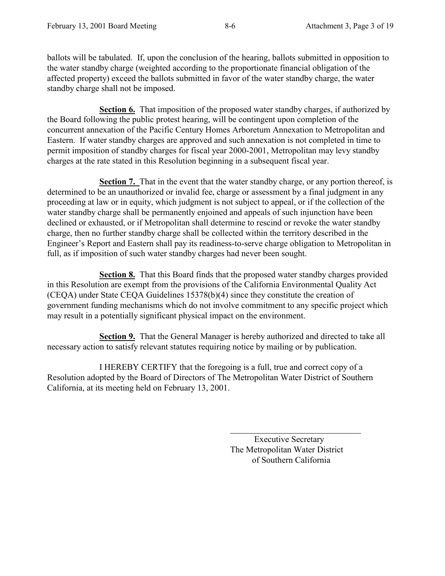ballots will be tabulated. If, upon the conclusion of the hearing, ballots submitted in opposition to the water standby charge (weighted according to the proportionate financial obligation of the affected property) exceed the ballots submitted in favor of the water standby charge, the water standby charge shall not be imposed.

**Section 6.** That imposition of the proposed water standby charges, if authorized by the Board following the public protest hearing, will be contingent upon completion of the concurrent annexation of the Pacific Century Homes Arboretum Annexation to Metropolitan and Eastern. If water standby charges are approved and such annexation is not completed in time to permit imposition of standby charges for fiscal year 2000-2001, Metropolitan may levy standby charges at the rate stated in this Resolution beginning in a subsequent fiscal year.

**Section 7.** That in the event that the water standby charge, or any portion thereof, is determined to be an unauthorized or invalid fee, charge or assessment by a final judgment in any proceeding at law or in equity, which judgment is not subject to appeal, or if the collection of the water standby charge shall be permanently enjoined and appeals of such injunction have been declined or exhausted, or if Metropolitan shall determine to rescind or revoke the water standby charge, then no further standby charge shall be collected within the territory described in the Engineer's Report and Eastern shall pay its readiness-to-serve charge obligation to Metropolitan in full, as if imposition of such water standby charges had never been sought.

**Section 8.** That this Board finds that the proposed water standby charges provided in this Resolution are exempt from the provisions of the California Environmental Quality Act (CEQA) under State CEQA Guidelines 15378(b)(4) since they constitute the creation of government funding mechanisms which do not involve commitment to any specific project which may result in a potentially significant physical impact on the environment.

**Section 9.** That the General Manager is hereby authorized and directed to take all necessary action to satisfy relevant statutes requiring notice by mailing or by publication.

I HEREBY CERTIFY that the foregoing is a full, true and correct copy of a Resolution adopted by the Board of Directors of The Metropolitan Water District of Southern California, at its meeting held on February 13, 2001.

 $\overline{a}$ 

 Executive Secretary The Metropolitan Water District of Southern California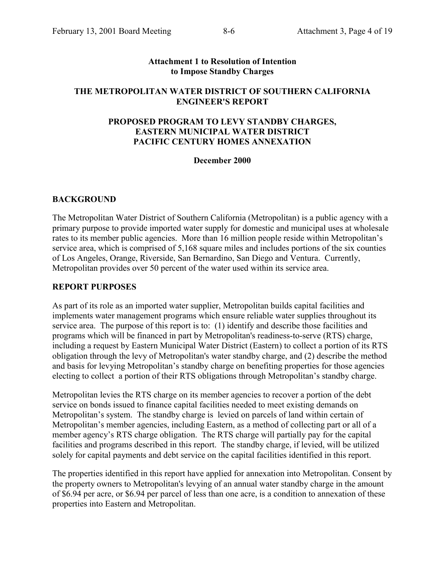#### **Attachment 1 to Resolution of Intention to Impose Standby Charges**

## **THE METROPOLITAN WATER DISTRICT OF SOUTHERN CALIFORNIA ENGINEER'S REPORT**

# **PROPOSED PROGRAM TO LEVY STANDBY CHARGES, EASTERN MUNICIPAL WATER DISTRICT PACIFIC CENTURY HOMES ANNEXATION**

#### **December 2000**

### **BACKGROUND**

The Metropolitan Water District of Southern California (Metropolitan) is a public agency with a primary purpose to provide imported water supply for domestic and municipal uses at wholesale rates to its member public agencies. More than 16 million people reside within Metropolitan's service area, which is comprised of 5,168 square miles and includes portions of the six counties of Los Angeles, Orange, Riverside, San Bernardino, San Diego and Ventura. Currently, Metropolitan provides over 50 percent of the water used within its service area.

#### **REPORT PURPOSES**

As part of its role as an imported water supplier, Metropolitan builds capital facilities and implements water management programs which ensure reliable water supplies throughout its service area. The purpose of this report is to: (1) identify and describe those facilities and programs which will be financed in part by Metropolitan's readiness-to-serve (RTS) charge, including a request by Eastern Municipal Water District (Eastern) to collect a portion of its RTS obligation through the levy of Metropolitan's water standby charge, and (2) describe the method and basis for levying Metropolitan's standby charge on benefiting properties for those agencies electing to collect a portion of their RTS obligations through Metropolitan's standby charge.

Metropolitan levies the RTS charge on its member agencies to recover a portion of the debt service on bonds issued to finance capital facilities needed to meet existing demands on Metropolitan's system. The standby charge is levied on parcels of land within certain of Metropolitan's member agencies, including Eastern, as a method of collecting part or all of a member agency's RTS charge obligation. The RTS charge will partially pay for the capital facilities and programs described in this report. The standby charge, if levied, will be utilized solely for capital payments and debt service on the capital facilities identified in this report.

The properties identified in this report have applied for annexation into Metropolitan. Consent by the property owners to Metropolitan's levying of an annual water standby charge in the amount of \$6.94 per acre, or \$6.94 per parcel of less than one acre, is a condition to annexation of these properties into Eastern and Metropolitan.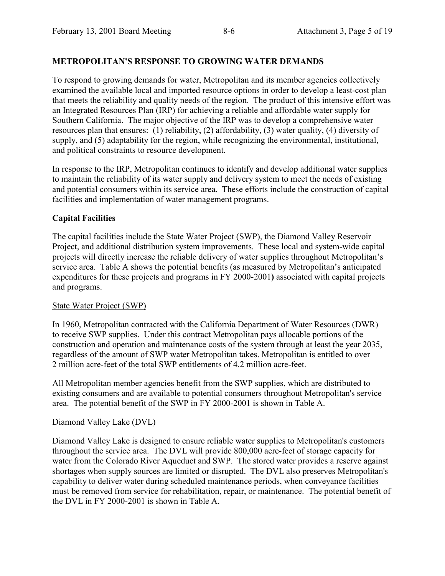# **METROPOLITAN'S RESPONSE TO GROWING WATER DEMANDS**

To respond to growing demands for water, Metropolitan and its member agencies collectively examined the available local and imported resource options in order to develop a least-cost plan that meets the reliability and quality needs of the region. The product of this intensive effort was an Integrated Resources Plan (IRP) for achieving a reliable and affordable water supply for Southern California. The major objective of the IRP was to develop a comprehensive water resources plan that ensures: (1) reliability, (2) affordability, (3) water quality, (4) diversity of supply, and (5) adaptability for the region, while recognizing the environmental, institutional, and political constraints to resource development.

In response to the IRP, Metropolitan continues to identify and develop additional water supplies to maintain the reliability of its water supply and delivery system to meet the needs of existing and potential consumers within its service area. These efforts include the construction of capital facilities and implementation of water management programs.

# **Capital Facilities**

The capital facilities include the State Water Project (SWP), the Diamond Valley Reservoir Project, and additional distribution system improvements. These local and system-wide capital projects will directly increase the reliable delivery of water supplies throughout Metropolitan's service area. Table A shows the potential benefits (as measured by Metropolitan's anticipated expenditures for these projects and programs in FY 2000-2001**)** associated with capital projects and programs.

# State Water Project (SWP)

In 1960, Metropolitan contracted with the California Department of Water Resources (DWR) to receive SWP supplies. Under this contract Metropolitan pays allocable portions of the construction and operation and maintenance costs of the system through at least the year 2035, regardless of the amount of SWP water Metropolitan takes. Metropolitan is entitled to over 2 million acre-feet of the total SWP entitlements of 4.2 million acre-feet.

All Metropolitan member agencies benefit from the SWP supplies, which are distributed to existing consumers and are available to potential consumers throughout Metropolitan's service area. The potential benefit of the SWP in FY 2000-2001 is shown in Table A.

# Diamond Valley Lake (DVL)

Diamond Valley Lake is designed to ensure reliable water supplies to Metropolitan's customers throughout the service area. The DVL will provide 800,000 acre-feet of storage capacity for water from the Colorado River Aqueduct and SWP. The stored water provides a reserve against shortages when supply sources are limited or disrupted. The DVL also preserves Metropolitan's capability to deliver water during scheduled maintenance periods, when conveyance facilities must be removed from service for rehabilitation, repair, or maintenance. The potential benefit of the DVL in FY 2000-2001 is shown in Table A.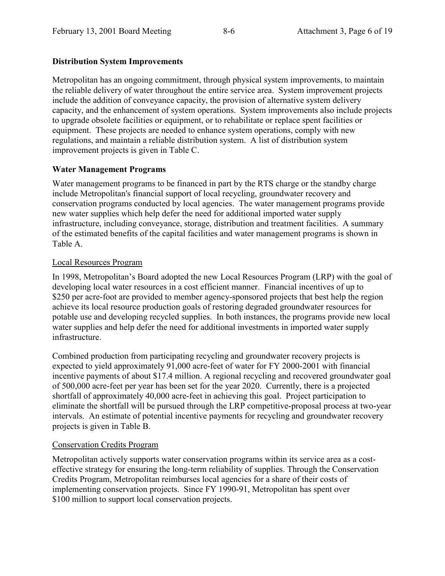# **Distribution System Improvements**

Metropolitan has an ongoing commitment, through physical system improvements, to maintain the reliable delivery of water throughout the entire service area. System improvement projects include the addition of conveyance capacity, the provision of alternative system delivery capacity, and the enhancement of system operations. System improvements also include projects to upgrade obsolete facilities or equipment, or to rehabilitate or replace spent facilities or equipment. These projects are needed to enhance system operations, comply with new regulations, and maintain a reliable distribution system. A list of distribution system improvement projects is given in Table C.

# **Water Management Programs**

Water management programs to be financed in part by the RTS charge or the standby charge include Metropolitan's financial support of local recycling, groundwater recovery and conservation programs conducted by local agencies. The water management programs provide new water supplies which help defer the need for additional imported water supply infrastructure, including conveyance, storage, distribution and treatment facilities. A summary of the estimated benefits of the capital facilities and water management programs is shown in Table A.

# Local Resources Program

In 1998, Metropolitan's Board adopted the new Local Resources Program (LRP) with the goal of developing local water resources in a cost efficient manner. Financial incentives of up to \$250 per acre-foot are provided to member agency-sponsored projects that best help the region achieve its local resource production goals of restoring degraded groundwater resources for potable use and developing recycled supplies. In both instances, the programs provide new local water supplies and help defer the need for additional investments in imported water supply infrastructure.

Combined production from participating recycling and groundwater recovery projects is expected to yield approximately 91,000 acre-feet of water for FY 2000-2001 with financial incentive payments of about \$17.4 million. A regional recycling and recovered groundwater goal of 500,000 acre-feet per year has been set for the year 2020. Currently, there is a projected shortfall of approximately 40,000 acre-feet in achieving this goal. Project participation to eliminate the shortfall will be pursued through the LRP competitive-proposal process at two-year intervals. An estimate of potential incentive payments for recycling and groundwater recovery projects is given in Table B.

# Conservation Credits Program

Metropolitan actively supports water conservation programs within its service area as a costeffective strategy for ensuring the long-term reliability of supplies. Through the Conservation Credits Program, Metropolitan reimburses local agencies for a share of their costs of implementing conservation projects. Since FY 1990-91, Metropolitan has spent over \$100 million to support local conservation projects.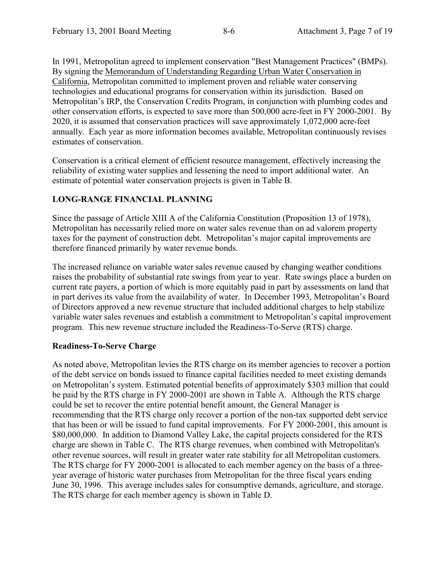In 1991, Metropolitan agreed to implement conservation "Best Management Practices" (BMPs). By signing the Memorandum of Understanding Regarding Urban Water Conservation in California, Metropolitan committed to implement proven and reliable water conserving technologies and educational programs for conservation within its jurisdiction. Based on Metropolitan's IRP, the Conservation Credits Program, in conjunction with plumbing codes and other conservation efforts, is expected to save more than 500,000 acre-feet in FY 2000-2001. By 2020, it is assumed that conservation practices will save approximately 1,072,000 acre-feet annually. Each year as more information becomes available, Metropolitan continuously revises estimates of conservation.

Conservation is a critical element of efficient resource management, effectively increasing the reliability of existing water supplies and lessening the need to import additional water. An estimate of potential water conservation projects is given in Table B.

# **LONG-RANGE FINANCIAL PLANNING**

Since the passage of Article XIII A of the California Constitution (Proposition 13 of 1978), Metropolitan has necessarily relied more on water sales revenue than on ad valorem property taxes for the payment of construction debt. Metropolitan's major capital improvements are therefore financed primarily by water revenue bonds.

The increased reliance on variable water sales revenue caused by changing weather conditions raises the probability of substantial rate swings from year to year. Rate swings place a burden on current rate payers, a portion of which is more equitably paid in part by assessments on land that in part derives its value from the availability of water. In December 1993, Metropolitan's Board of Directors approved a new revenue structure that included additional charges to help stabilize variable water sales revenues and establish a commitment to Metropolitan's capital improvement program. This new revenue structure included the Readiness-To-Serve (RTS) charge.

# **Readiness-To-Serve Charge**

As noted above, Metropolitan levies the RTS charge on its member agencies to recover a portion of the debt service on bonds issued to finance capital facilities needed to meet existing demands on Metropolitan's system. Estimated potential benefits of approximately \$303 million that could be paid by the RTS charge in FY 2000-2001 are shown in Table A. Although the RTS charge could be set to recover the entire potential benefit amount, the General Manager is recommending that the RTS charge only recover a portion of the non-tax supported debt service that has been or will be issued to fund capital improvements. For FY 2000-2001, this amount is \$80,000,000. In addition to Diamond Valley Lake, the capital projects considered for the RTS charge are shown in Table C. The RTS charge revenues, when combined with Metropolitan's other revenue sources, will result in greater water rate stability for all Metropolitan customers. The RTS charge for FY 2000-2001 is allocated to each member agency on the basis of a threeyear average of historic water purchases from Metropolitan for the three fiscal years ending June 30, 1996. This average includes sales for consumptive demands, agriculture, and storage. The RTS charge for each member agency is shown in Table D.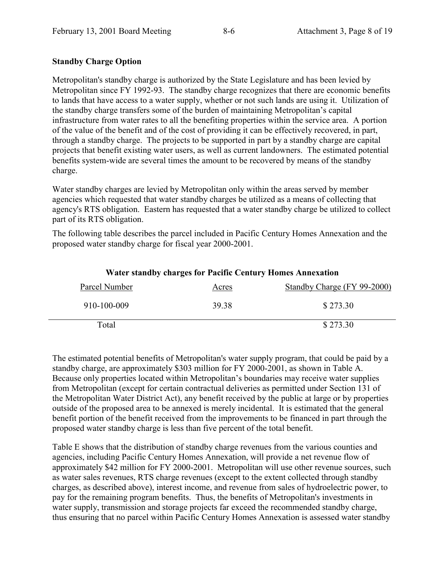# **Standby Charge Option**

Metropolitan's standby charge is authorized by the State Legislature and has been levied by Metropolitan since FY 1992-93. The standby charge recognizes that there are economic benefits to lands that have access to a water supply, whether or not such lands are using it. Utilization of the standby charge transfers some of the burden of maintaining Metropolitan's capital infrastructure from water rates to all the benefiting properties within the service area. A portion of the value of the benefit and of the cost of providing it can be effectively recovered, in part, through a standby charge. The projects to be supported in part by a standby charge are capital projects that benefit existing water users, as well as current landowners. The estimated potential benefits system-wide are several times the amount to be recovered by means of the standby charge.

Water standby charges are levied by Metropolitan only within the areas served by member agencies which requested that water standby charges be utilized as a means of collecting that agency's RTS obligation. Eastern has requested that a water standby charge be utilized to collect part of its RTS obligation.

The following table describes the parcel included in Pacific Century Homes Annexation and the proposed water standby charge for fiscal year 2000-2001.

| Water standby charges for Pacific Century Homes Annexation |       |                             |  |
|------------------------------------------------------------|-------|-----------------------------|--|
| Parcel Number                                              | Acres | Standby Charge (FY 99-2000) |  |
| 910-100-009                                                | 39.38 | \$273.30                    |  |
| Total                                                      |       | \$273.30                    |  |

**Water standby charges for Pacific Century Homes Annexation**

The estimated potential benefits of Metropolitan's water supply program, that could be paid by a standby charge, are approximately \$303 million for FY 2000-2001, as shown in Table A. Because only properties located within Metropolitan's boundaries may receive water supplies from Metropolitan (except for certain contractual deliveries as permitted under Section 131 of the Metropolitan Water District Act), any benefit received by the public at large or by properties outside of the proposed area to be annexed is merely incidental. It is estimated that the general benefit portion of the benefit received from the improvements to be financed in part through the proposed water standby charge is less than five percent of the total benefit.

Table E shows that the distribution of standby charge revenues from the various counties and agencies, including Pacific Century Homes Annexation, will provide a net revenue flow of approximately \$42 million for FY 2000-2001. Metropolitan will use other revenue sources, such as water sales revenues, RTS charge revenues (except to the extent collected through standby charges, as described above), interest income, and revenue from sales of hydroelectric power, to pay for the remaining program benefits. Thus, the benefits of Metropolitan's investments in water supply, transmission and storage projects far exceed the recommended standby charge, thus ensuring that no parcel within Pacific Century Homes Annexation is assessed water standby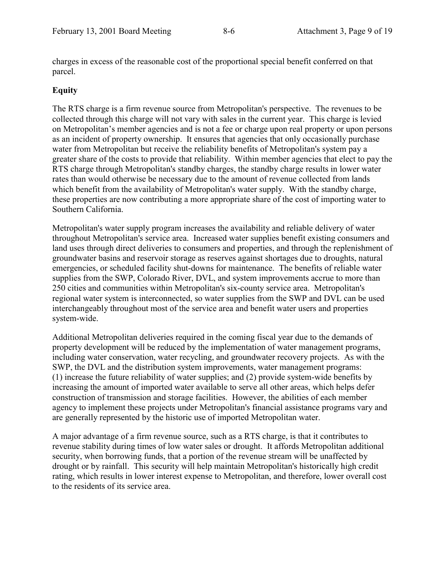charges in excess of the reasonable cost of the proportional special benefit conferred on that parcel.

# **Equity**

The RTS charge is a firm revenue source from Metropolitan's perspective. The revenues to be collected through this charge will not vary with sales in the current year. This charge is levied on Metropolitan's member agencies and is not a fee or charge upon real property or upon persons as an incident of property ownership. It ensures that agencies that only occasionally purchase water from Metropolitan but receive the reliability benefits of Metropolitan's system pay a greater share of the costs to provide that reliability. Within member agencies that elect to pay the RTS charge through Metropolitan's standby charges, the standby charge results in lower water rates than would otherwise be necessary due to the amount of revenue collected from lands which benefit from the availability of Metropolitan's water supply. With the standby charge, these properties are now contributing a more appropriate share of the cost of importing water to Southern California.

Metropolitan's water supply program increases the availability and reliable delivery of water throughout Metropolitan's service area. Increased water supplies benefit existing consumers and land uses through direct deliveries to consumers and properties, and through the replenishment of groundwater basins and reservoir storage as reserves against shortages due to droughts, natural emergencies, or scheduled facility shut-downs for maintenance. The benefits of reliable water supplies from the SWP, Colorado River, DVL, and system improvements accrue to more than 250 cities and communities within Metropolitan's six-county service area. Metropolitan's regional water system is interconnected, so water supplies from the SWP and DVL can be used interchangeably throughout most of the service area and benefit water users and properties system-wide.

Additional Metropolitan deliveries required in the coming fiscal year due to the demands of property development will be reduced by the implementation of water management programs, including water conservation, water recycling, and groundwater recovery projects. As with the SWP, the DVL and the distribution system improvements, water management programs: (1) increase the future reliability of water supplies; and (2) provide system-wide benefits by increasing the amount of imported water available to serve all other areas, which helps defer construction of transmission and storage facilities. However, the abilities of each member agency to implement these projects under Metropolitan's financial assistance programs vary and are generally represented by the historic use of imported Metropolitan water.

A major advantage of a firm revenue source, such as a RTS charge, is that it contributes to revenue stability during times of low water sales or drought. It affords Metropolitan additional security, when borrowing funds, that a portion of the revenue stream will be unaffected by drought or by rainfall. This security will help maintain Metropolitan's historically high credit rating, which results in lower interest expense to Metropolitan, and therefore, lower overall cost to the residents of its service area.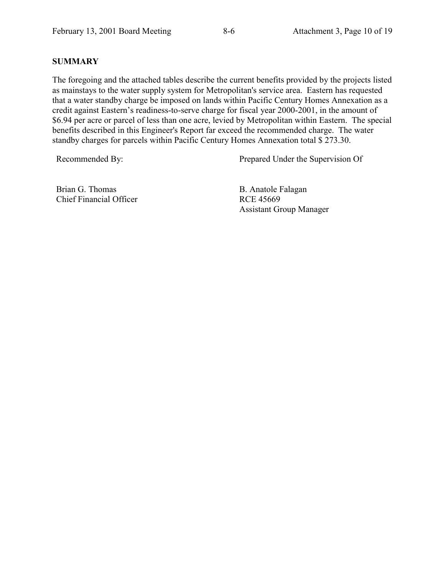# **SUMMARY**

The foregoing and the attached tables describe the current benefits provided by the projects listed as mainstays to the water supply system for Metropolitan's service area. Eastern has requested that a water standby charge be imposed on lands within Pacific Century Homes Annexation as a credit against Eastern's readiness-to-serve charge for fiscal year 2000-2001, in the amount of \$6.94 per acre or parcel of less than one acre, levied by Metropolitan within Eastern. The special benefits described in this Engineer's Report far exceed the recommended charge. The water standby charges for parcels within Pacific Century Homes Annexation total \$ 273.30.

Recommended By: Prepared Under the Supervision Of

Brian G. Thomas Chief Financial Officer B. Anatole Falagan RCE 45669 Assistant Group Manager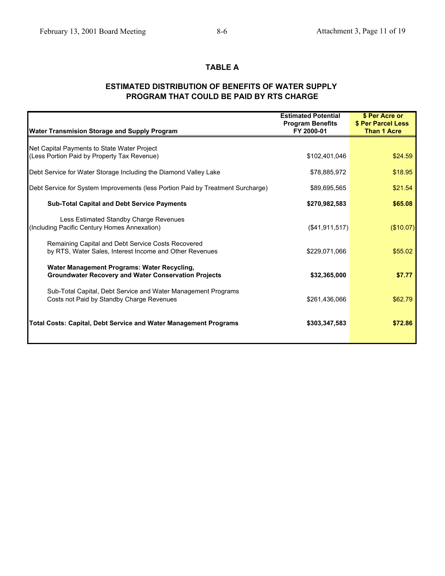# **TABLE A**

# **ESTIMATED DISTRIBUTION OF BENEFITS OF WATER SUPPLY PROGRAM THAT COULD BE PAID BY RTS CHARGE**

|                                                                                 | <b>Estimated Potential</b> | \$ Per Acre or     |
|---------------------------------------------------------------------------------|----------------------------|--------------------|
|                                                                                 | <b>Program Benefits</b>    | \$ Per Parcel Less |
| <b>Water Transmision Storage and Supply Program</b>                             | FY 2000-01                 | <b>Than 1 Acre</b> |
| Net Capital Payments to State Water Project                                     |                            |                    |
| (Less Portion Paid by Property Tax Revenue)                                     | \$102,401,046              | \$24.59            |
| Debt Service for Water Storage Including the Diamond Valley Lake                | \$78,885,972               | \$18.95            |
| Debt Service for System Improvements (less Portion Paid by Treatment Surcharge) | \$89,695,565               | \$21.54            |
| <b>Sub-Total Capital and Debt Service Payments</b>                              | \$270,982,583              | \$65.08            |
| Less Estimated Standby Charge Revenues                                          |                            |                    |
| (Including Pacific Century Homes Annexation)                                    | (\$41,911,517)             | (\$10.07)          |
| Remaining Capital and Debt Service Costs Recovered                              |                            |                    |
| by RTS, Water Sales, Interest Income and Other Revenues                         | \$229,071,066              | \$55.02            |
| Water Management Programs: Water Recycling,                                     |                            |                    |
| <b>Groundwater Recovery and Water Conservation Projects</b>                     | \$32,365,000               | \$7.77             |
| Sub-Total Capital, Debt Service and Water Management Programs                   |                            |                    |
| Costs not Paid by Standby Charge Revenues                                       | \$261,436,066              | \$62.79            |
|                                                                                 |                            |                    |
| <b>Total Costs: Capital, Debt Service and Water Management Programs</b>         | \$303,347,583              | \$72.86            |
|                                                                                 |                            |                    |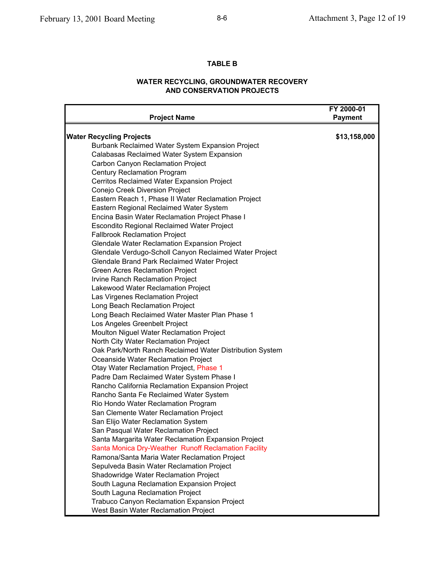#### **TABLE B**

### **WATER RECYCLING, GROUNDWATER RECOVERY AND CONSERVATION PROJECTS**

| <b>Project Name</b>                                      | FY 2000-01<br><b>Payment</b> |
|----------------------------------------------------------|------------------------------|
| <b>Water Recycling Projects</b>                          | \$13,158,000                 |
| Burbank Reclaimed Water System Expansion Project         |                              |
| Calabasas Reclaimed Water System Expansion               |                              |
| Carbon Canyon Reclamation Project                        |                              |
| Century Reclamation Program                              |                              |
| Cerritos Reclaimed Water Expansion Project               |                              |
| Conejo Creek Diversion Project                           |                              |
| Eastern Reach 1, Phase II Water Reclamation Project      |                              |
| Eastern Regional Reclaimed Water System                  |                              |
| Encina Basin Water Reclamation Project Phase I           |                              |
| Escondito Regional Reclaimed Water Project               |                              |
| <b>Fallbrook Reclamation Project</b>                     |                              |
| Glendale Water Reclamation Expansion Project             |                              |
| Glendale Verdugo-Scholl Canyon Reclaimed Water Project   |                              |
| Glendale Brand Park Reclaimed Water Project              |                              |
| Green Acres Reclamation Project                          |                              |
| Irvine Ranch Reclamation Project                         |                              |
| Lakewood Water Reclamation Project                       |                              |
| Las Virgenes Reclamation Project                         |                              |
| Long Beach Reclamation Project                           |                              |
| Long Beach Reclaimed Water Master Plan Phase 1           |                              |
| Los Angeles Greenbelt Project                            |                              |
| Moulton Niguel Water Reclamation Project                 |                              |
| North City Water Reclamation Project                     |                              |
| Oak Park/North Ranch Reclaimed Water Distribution System |                              |
| Oceanside Water Reclamation Project                      |                              |
| Otay Water Reclamation Project, Phase 1                  |                              |
| Padre Dam Reclaimed Water System Phase I                 |                              |
| Rancho California Reclamation Expansion Project          |                              |
| Rancho Santa Fe Reclaimed Water System                   |                              |
| Rio Hondo Water Reclamation Program                      |                              |
| San Clemente Water Reclamation Project                   |                              |
| San Elijo Water Reclamation System                       |                              |
| San Pasqual Water Reclamation Project                    |                              |
| Santa Margarita Water Reclamation Expansion Project      |                              |
| Santa Monica Dry-Weather Runoff Reclamation Facility     |                              |
| Ramona/Santa Maria Water Reclamation Project             |                              |
| Sepulveda Basin Water Reclamation Project                |                              |
| Shadowridge Water Reclamation Project                    |                              |
| South Laguna Reclamation Expansion Project               |                              |
| South Laguna Reclamation Project                         |                              |
| Trabuco Canyon Reclamation Expansion Project             |                              |
| West Basin Water Reclamation Project                     |                              |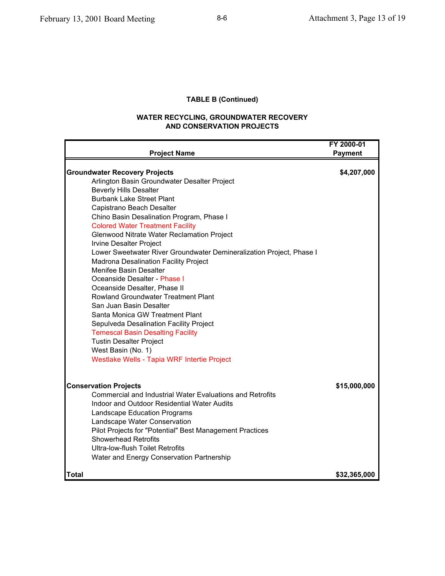# **TABLE B (Continued)**

#### **WATER RECYCLING, GROUNDWATER RECOVERY AND CONSERVATION PROJECTS**

| <b>Project Name</b>                                                                     | FY 2000-01<br><b>Payment</b> |
|-----------------------------------------------------------------------------------------|------------------------------|
|                                                                                         |                              |
| <b>Groundwater Recovery Projects</b>                                                    | \$4,207,000                  |
| Arlington Basin Groundwater Desalter Project<br><b>Beverly Hills Desalter</b>           |                              |
| <b>Burbank Lake Street Plant</b>                                                        |                              |
| Capistrano Beach Desalter                                                               |                              |
| Chino Basin Desalination Program, Phase I                                               |                              |
| <b>Colored Water Treatment Facility</b>                                                 |                              |
| Glenwood Nitrate Water Reclamation Project                                              |                              |
| <b>Irvine Desalter Project</b>                                                          |                              |
| Lower Sweetwater River Groundwater Demineralization Project, Phase I                    |                              |
| Madrona Desalination Facility Project                                                   |                              |
| Menifee Basin Desalter                                                                  |                              |
| Oceanside Desalter - Phase I                                                            |                              |
| Oceanside Desalter, Phase II                                                            |                              |
| Rowland Groundwater Treatment Plant                                                     |                              |
| San Juan Basin Desalter                                                                 |                              |
| Santa Monica GW Treatment Plant                                                         |                              |
| Sepulveda Desalination Facility Project                                                 |                              |
| <b>Temescal Basin Desalting Facility</b>                                                |                              |
| <b>Tustin Desalter Project</b>                                                          |                              |
| West Basin (No. 1)                                                                      |                              |
| Westlake Wells - Tapia WRF Intertie Project                                             |                              |
|                                                                                         |                              |
| <b>Conservation Projects</b>                                                            | \$15,000,000                 |
| Commercial and Industrial Water Evaluations and Retrofits                               |                              |
| Indoor and Outdoor Residential Water Audits                                             |                              |
| Landscape Education Programs                                                            |                              |
| Landscape Water Conservation                                                            |                              |
| Pilot Projects for "Potential" Best Management Practices<br><b>Showerhead Retrofits</b> |                              |
| <b>Ultra-low-flush Toilet Retrofits</b>                                                 |                              |
| Water and Energy Conservation Partnership                                               |                              |
| <b>Total</b>                                                                            | \$32,365,000                 |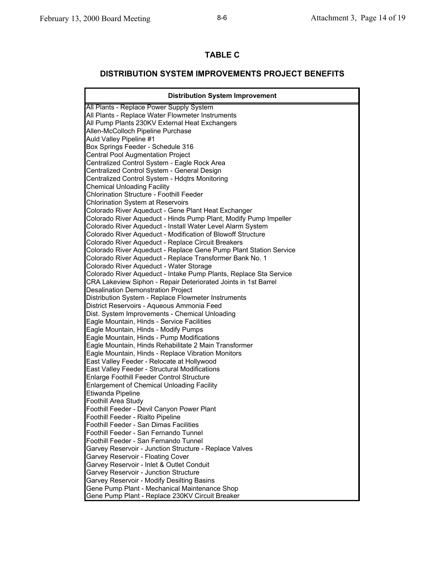# **TABLE C**

# **DISTRIBUTION SYSTEM IMPROVEMENTS PROJECT BENEFITS**

| <b>Distribution System Improvement</b>                                                            |
|---------------------------------------------------------------------------------------------------|
| All Plants - Replace Power Supply System                                                          |
| All Plants - Replace Water Flowmeter Instruments                                                  |
| All Pump Plants 230KV External Heat Exchangers                                                    |
| Allen-McColloch Pipeline Purchase                                                                 |
| Auld Valley Pipeline #1                                                                           |
| Box Springs Feeder - Schedule 316                                                                 |
| <b>Central Pool Augmentation Project</b>                                                          |
| Centralized Control System - Eagle Rock Area                                                      |
| Centralized Control System - General Design                                                       |
| Centralized Control System - Hdqtrs Monitoring                                                    |
| Chemical Unloading Facility                                                                       |
| <b>Chlorination Structure - Foothill Feeder</b>                                                   |
| <b>Chlorination System at Reservoirs</b>                                                          |
| Colorado River Aqueduct - Gene Plant Heat Exchanger                                               |
| Colorado River Aqueduct - Hinds Pump Plant, Modify Pump Impeller                                  |
| Colorado River Aqueduct - Install Water Level Alarm System                                        |
| Colorado River Aqueduct - Modification of Blowoff Structure                                       |
| Colorado River Aqueduct - Replace Circuit Breakers                                                |
| Colorado River Aqueduct - Replace Gene Pump Plant Station Service                                 |
| Colorado River Aqueduct - Replace Transformer Bank No. 1                                          |
| Colorado River Aqueduct - Water Storage                                                           |
| Colorado River Aqueduct - Intake Pump Plants, Replace Sta Service                                 |
| CRA Lakeview Siphon - Repair Deteriorated Joints in 1st Barrel                                    |
| <b>Desalination Demonstration Project</b>                                                         |
| Distribution System - Replace Flowmeter Instruments<br>District Reservoirs - Aqueous Ammonia Feed |
| Dist. System Improvements - Chemical Unloading                                                    |
| Eagle Mountain, Hinds - Service Facilities                                                        |
| Eagle Mountain, Hinds - Modify Pumps                                                              |
| Eagle Mountain, Hinds - Pump Modifications                                                        |
| Eagle Mountain, Hinds Rehabilitate 2 Main Transformer                                             |
| Eagle Mountain, Hinds - Replace Vibration Monitors                                                |
| East Valley Feeder - Relocate at Hollywood                                                        |
| East Valley Feeder - Structural Modifications                                                     |
| <b>Enlarge Foothill Feeder Control Structure</b>                                                  |
| <b>Enlargement of Chemical Unloading Facility</b>                                                 |
| Etiwanda Pipeline                                                                                 |
| Foothill Area Study                                                                               |
| Foothill Feeder - Devil Canyon Power Plant                                                        |
| Foothill Feeder - Rialto Pipeline                                                                 |
| Foothill Feeder - San Dimas Facilities                                                            |
| Foothill Feeder - San Fernando Tunnel                                                             |
| Foothill Feeder - San Fernando Tunnel                                                             |
| Garvey Reservoir - Junction Structure - Replace Valves                                            |
| Garvey Reservoir - Floating Cover                                                                 |
| Garvey Reservoir - Inlet & Outlet Conduit                                                         |
| Garvey Reservoir - Junction Structure                                                             |
| Garvey Reservoir - Modify Desilting Basins                                                        |
| Gene Pump Plant - Mechanical Maintenance Shop                                                     |
| Gene Pump Plant - Replace 230KV Circuit Breaker                                                   |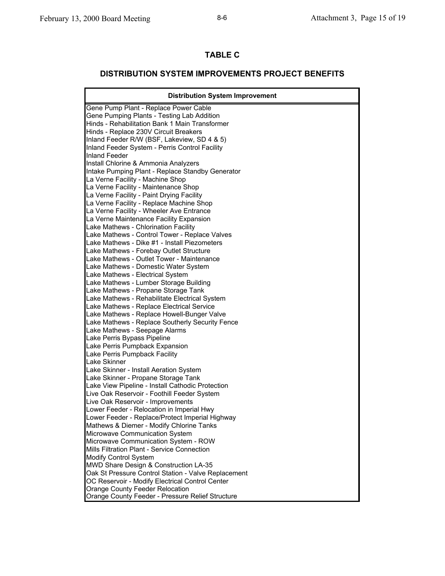# **TABLE C**

# **DISTRIBUTION SYSTEM IMPROVEMENTS PROJECT BENEFITS**

| <b>Distribution System Improvement</b>              |  |  |
|-----------------------------------------------------|--|--|
| Gene Pump Plant - Replace Power Cable               |  |  |
| Gene Pumping Plants - Testing Lab Addition          |  |  |
| Hinds - Rehabilitation Bank 1 Main Transformer      |  |  |
| Hinds - Replace 230V Circuit Breakers               |  |  |
| Inland Feeder R/W (BSF, Lakeview, SD 4 & 5)         |  |  |
| Inland Feeder System - Perris Control Facility      |  |  |
| Inland Feeder                                       |  |  |
| Install Chlorine & Ammonia Analyzers                |  |  |
| Intake Pumping Plant - Replace Standby Generator    |  |  |
| La Verne Facility - Machine Shop                    |  |  |
| La Verne Facility - Maintenance Shop                |  |  |
| La Verne Facility - Paint Drying Facility           |  |  |
| La Verne Facility - Replace Machine Shop            |  |  |
| La Verne Facility - Wheeler Ave Entrance            |  |  |
| La Verne Maintenance Facility Expansion             |  |  |
| Lake Mathews - Chlorination Facility                |  |  |
| Lake Mathews - Control Tower - Replace Valves       |  |  |
| Lake Mathews - Dike #1 - Install Piezometers        |  |  |
| Lake Mathews - Forebay Outlet Structure             |  |  |
| Lake Mathews - Outlet Tower - Maintenance           |  |  |
| Lake Mathews - Domestic Water System                |  |  |
| Lake Mathews - Electrical System                    |  |  |
| Lake Mathews - Lumber Storage Building              |  |  |
| Lake Mathews - Propane Storage Tank                 |  |  |
| Lake Mathews - Rehabilitate Electrical System       |  |  |
| Lake Mathews - Replace Electrical Service           |  |  |
| Lake Mathews - Replace Howell-Bunger Valve          |  |  |
| Lake Mathews - Replace Southerly Security Fence     |  |  |
| Lake Mathews - Seepage Alarms                       |  |  |
| Lake Perris Bypass Pipeline                         |  |  |
| Lake Perris Pumpback Expansion                      |  |  |
| Lake Perris Pumpback Facility                       |  |  |
| Lake Skinner                                        |  |  |
| Lake Skinner - Install Aeration System              |  |  |
| Lake Skinner - Propane Storage Tank                 |  |  |
| Lake View Pipeline - Install Cathodic Protection    |  |  |
| Live Oak Reservoir - Foothill Feeder System         |  |  |
| Live Oak Reservoir - Improvements                   |  |  |
| Lower Feeder - Relocation in Imperial Hwy           |  |  |
| Lower Feeder - Replace/Protect Imperial Highway     |  |  |
| Mathews & Diemer - Modify Chlorine Tanks            |  |  |
| Microwave Communication System                      |  |  |
| Microwave Communication System - ROW                |  |  |
| Mills Filtration Plant - Service Connection         |  |  |
| <b>Modify Control System</b>                        |  |  |
| MWD Share Design & Construction LA-35               |  |  |
| Oak St Pressure Control Station - Valve Replacement |  |  |
| OC Reservoir - Modify Electrical Control Center     |  |  |
| Orange County Feeder Relocation                     |  |  |
| Orange County Feeder - Pressure Relief Structure    |  |  |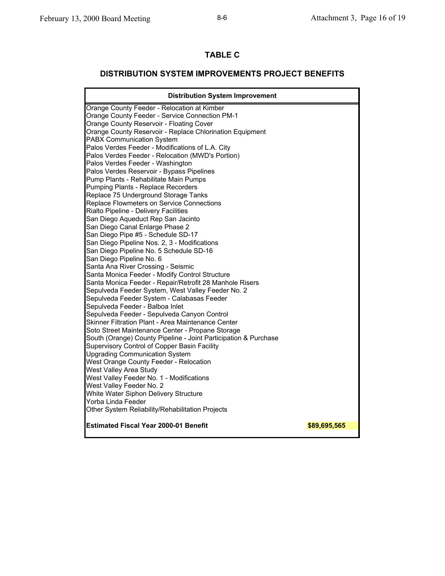# **TABLE C**

# **DISTRIBUTION SYSTEM IMPROVEMENTS PROJECT BENEFITS**

| <b>Distribution System Improvement</b>                          |              |  |  |
|-----------------------------------------------------------------|--------------|--|--|
| Orange County Feeder - Relocation at Kimber                     |              |  |  |
| Orange County Feeder - Service Connection PM-1                  |              |  |  |
| Orange County Reservoir - Floating Cover                        |              |  |  |
| Orange County Reservoir - Replace Chlorination Equipment        |              |  |  |
| <b>PABX Communication System</b>                                |              |  |  |
| Palos Verdes Feeder - Modifications of L.A. City                |              |  |  |
| Palos Verdes Feeder - Relocation (MWD's Portion)                |              |  |  |
| Palos Verdes Feeder - Washington                                |              |  |  |
| Palos Verdes Reservoir - Bypass Pipelines                       |              |  |  |
| Pump Plants - Rehabilitate Main Pumps                           |              |  |  |
| Pumping Plants - Replace Recorders                              |              |  |  |
| Replace 75 Underground Storage Tanks                            |              |  |  |
| Replace Flowmeters on Service Connections                       |              |  |  |
| Rialto Pipeline - Delivery Facilities                           |              |  |  |
| San Diego Aqueduct Rep San Jacinto                              |              |  |  |
| San Diego Canal Enlarge Phase 2                                 |              |  |  |
| San Diego Pipe #5 - Schedule SD-17                              |              |  |  |
| San Diego Pipeline Nos. 2, 3 - Modifications                    |              |  |  |
| San Diego Pipeline No. 5 Schedule SD-16                         |              |  |  |
| San Diego Pipeline No. 6                                        |              |  |  |
| Santa Ana River Crossing - Seismic                              |              |  |  |
| Santa Monica Feeder - Modify Control Structure                  |              |  |  |
| Santa Monica Feeder - Repair/Retrofit 28 Manhole Risers         |              |  |  |
| Sepulveda Feeder System, West Valley Feeder No. 2               |              |  |  |
| Sepulveda Feeder System - Calabasas Feeder                      |              |  |  |
| Sepulveda Feeder - Balboa Inlet                                 |              |  |  |
| Sepulveda Feeder - Sepulveda Canyon Control                     |              |  |  |
| Skinner Filtration Plant - Area Maintenance Center              |              |  |  |
| Soto Street Maintenance Center - Propane Storage                |              |  |  |
| South (Orange) County Pipeline - Joint Participation & Purchase |              |  |  |
| Supervisory Control of Copper Basin Facility                    |              |  |  |
| <b>Upgrading Communication System</b>                           |              |  |  |
| West Orange County Feeder - Relocation                          |              |  |  |
| West Valley Area Study                                          |              |  |  |
| West Valley Feeder No. 1 - Modifications                        |              |  |  |
| West Valley Feeder No. 2                                        |              |  |  |
| White Water Siphon Delivery Structure                           |              |  |  |
| Yorba Linda Feeder                                              |              |  |  |
| Other System Reliability/Rehabilitation Projects                |              |  |  |
| <b>Estimated Fiscal Year 2000-01 Benefit</b>                    | \$89,695,565 |  |  |
|                                                                 |              |  |  |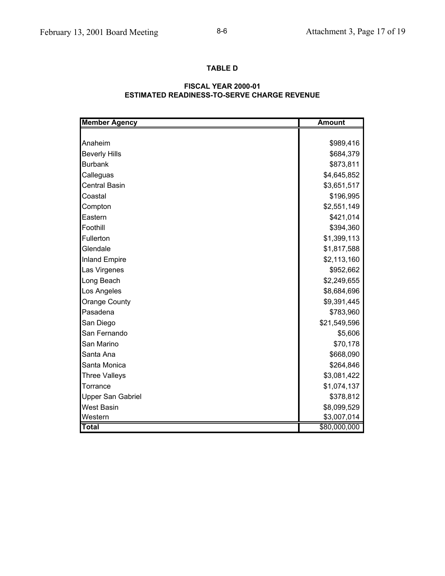# **TABLE D**

#### **ESTIMATED READINESS-TO-SERVE CHARGE REVENUE FISCAL YEAR 2000-01**

| <b>Member Agency</b>     | <b>Amount</b> |
|--------------------------|---------------|
|                          |               |
| Anaheim                  | \$989,416     |
| <b>Beverly Hills</b>     | \$684,379     |
| <b>Burbank</b>           | \$873,811     |
| Calleguas                | \$4,645,852   |
| <b>Central Basin</b>     | \$3,651,517   |
| Coastal                  | \$196,995     |
| Compton                  | \$2,551,149   |
| Eastern                  | \$421,014     |
| Foothill                 | \$394,360     |
| Fullerton                | \$1,399,113   |
| Glendale                 | \$1,817,588   |
| <b>Inland Empire</b>     | \$2,113,160   |
| Las Virgenes             | \$952,662     |
| Long Beach               | \$2,249,655   |
| Los Angeles              | \$8,684,696   |
| Orange County            | \$9,391,445   |
| Pasadena                 | \$783,960     |
| San Diego                | \$21,549,596  |
| San Fernando             | \$5,606       |
| San Marino               | \$70,178      |
| Santa Ana                | \$668,090     |
| Santa Monica             | \$264,846     |
| <b>Three Valleys</b>     | \$3,081,422   |
| Torrance                 | \$1,074,137   |
| <b>Upper San Gabriel</b> | \$378,812     |
| <b>West Basin</b>        | \$8,099,529   |
| Western                  | \$3,007,014   |
| <b>Total</b>             | \$80,000,000  |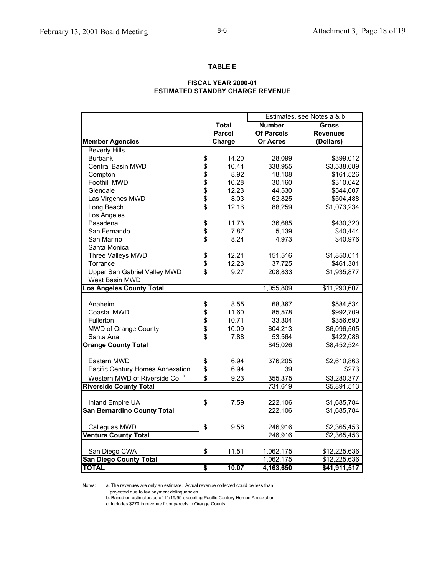#### **TABLE E**

#### **FISCAL YEAR 2000-01 ESTIMATED STANDBY CHARGE REVENUE**

|                                           |          |               | Estimates, see Notes a & b |                 |
|-------------------------------------------|----------|---------------|----------------------------|-----------------|
|                                           |          | <b>Total</b>  | <b>Number</b>              | <b>Gross</b>    |
|                                           |          | <b>Parcel</b> | <b>Of Parcels</b>          | <b>Revenues</b> |
| <b>Member Agencies</b>                    |          | Charge        | <b>Or Acres</b>            | (Dollars)       |
| <b>Beverly Hills</b>                      |          |               |                            |                 |
| <b>Burbank</b>                            | \$       | 14.20         | 28,099                     | \$399,012       |
| <b>Central Basin MWD</b>                  | \$       | 10.44         | 338,955                    | \$3,538,689     |
| Compton                                   | \$       | 8.92          | 18,108                     | \$161,526       |
| Foothill MWD                              | \$       | 10.28         | 30,160                     | \$310,042       |
| Glendale                                  | \$       | 12.23         | 44,530                     | \$544,607       |
| Las Virgenes MWD                          | \$       | 8.03          | 62,825                     | \$504,488       |
| Long Beach                                | \$       | 12.16         | 88,259                     | \$1,073,234     |
| Los Angeles                               |          |               |                            |                 |
| Pasadena                                  | \$       | 11.73         | 36,685                     | \$430,320       |
| San Fernando                              | \$       | 7.87          | 5,139                      | \$40,444        |
| San Marino                                | \$       | 8.24          | 4,973                      | \$40,976        |
| Santa Monica                              |          |               |                            |                 |
| Three Valleys MWD                         | \$       | 12.21         | 151,516                    | \$1,850,011     |
| Torrance                                  | \$       | 12.23         | 37,725                     | \$461,381       |
| Upper San Gabriel Valley MWD              | \$       | 9.27          | 208,833                    | \$1,935,877     |
| West Basin MWD                            |          |               |                            |                 |
| <b>Los Angeles County Total</b>           |          |               | 1,055,809                  | \$11,290,607    |
|                                           |          |               |                            |                 |
| Anaheim                                   | \$       | 8.55          | 68,367                     | \$584,534       |
| <b>Coastal MWD</b>                        | \$       | 11.60         | 85,578                     | \$992,709       |
| Fullerton                                 | \$       | 10.71         | 33,304                     | \$356,690       |
| MWD of Orange County                      | \$<br>\$ | 10.09         | 604,213                    | \$6,096,505     |
| Santa Ana                                 |          | 7.88          | 53,564<br>845,026          | \$422,086       |
| <b>Orange County Total</b>                |          |               |                            | \$8,452,524     |
| Eastern MWD                               | \$       | 6.94          | 376,205                    | \$2,610,863     |
| Pacific Century Homes Annexation          | \$       | 6.94          | 39                         | \$273           |
| Western MWD of Riverside Co. <sup>c</sup> | \$       | 9.23          | 355,375                    | \$3,280,377     |
| <b>Riverside County Total</b>             |          |               | 731,619                    | \$5,891,513     |
|                                           |          |               |                            |                 |
| Inland Empire UA                          | \$       | 7.59          | 222,106                    | \$1,685,784     |
| <b>San Bernardino County Total</b>        |          |               | 222,106                    | \$1,685,784     |
|                                           |          |               |                            |                 |
| Calleguas MWD                             | \$       | 9.58          | 246,916                    | \$2,365,453     |
| Ventura County Total                      |          |               | 246,916                    | \$2,365,453     |
|                                           |          |               |                            |                 |
| San Diego CWA                             | \$       | 11.51         | 1,062,175                  | \$12,225,636    |
| <b>San Diego County Total</b>             |          |               | 1,062,175                  | \$12,225,636    |
| <b>TOTAL</b>                              | \$       | 10.07         | 4,163,650                  | \$41,911,517    |

Notes: a. The revenues are only an estimate. Actual revenue collected could be less than

projected due to tax payment delinquencies.

b. Based on estimates as of 11/19/99 excepting Pacific Century Homes Annexation

c. Includes \$270 in revenue from parcels in Orange County